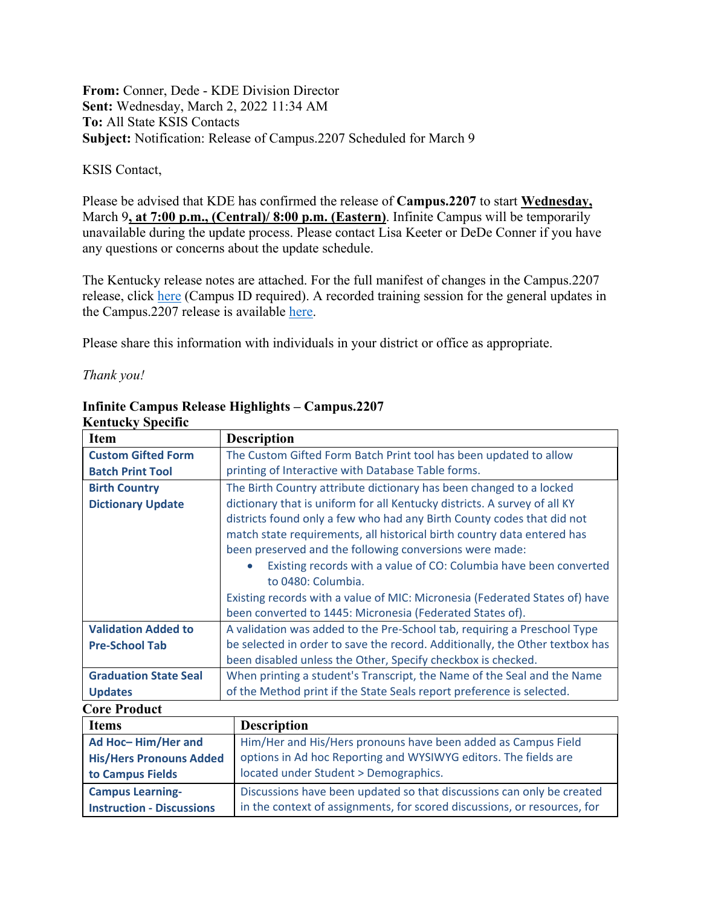## **From:** Conner, Dede - KDE Division Director **Sent:** Wednesday, March 2, 2022 11:34 AM **To:** All State KSIS Contacts **Subject:** Notification: Release of Campus.2207 Scheduled for March 9

## KSIS Contact,

Please be advised that KDE has confirmed the release of **Campus.2207** to start **Wednesday,**  March 9**, at 7:00 p.m., (Central)/ 8:00 p.m. (Eastern)**. Infinite Campus will be temporarily unavailable during the update process. Please contact Lisa Keeter or DeDe Conner if you have any questions or concerns about the update schedule.

The Kentucky release notes are attached. For the full manifest of changes in the Campus.2207 release, click [here](https://kb.infinitecampus.com/help/release-pack-campus2207-february-2022) (Campus ID required). A recorded training session for the general updates in the Campus.2207 release is available [here.](https://university.infinitecampus.com/learn/course/internal/view/elearning/20364/campus2207-sis-release-highlights)

Please share this information with individuals in your district or office as appropriate.

*Thank you!*

| Kentucky Spechic             |                                                                              |
|------------------------------|------------------------------------------------------------------------------|
| <b>Item</b>                  | <b>Description</b>                                                           |
| <b>Custom Gifted Form</b>    | The Custom Gifted Form Batch Print tool has been updated to allow            |
| <b>Batch Print Tool</b>      | printing of Interactive with Database Table forms.                           |
| <b>Birth Country</b>         | The Birth Country attribute dictionary has been changed to a locked          |
| <b>Dictionary Update</b>     | dictionary that is uniform for all Kentucky districts. A survey of all KY    |
|                              | districts found only a few who had any Birth County codes that did not       |
|                              | match state requirements, all historical birth country data entered has      |
|                              | been preserved and the following conversions were made:                      |
|                              | Existing records with a value of CO: Columbia have been converted            |
|                              | to 0480: Columbia.                                                           |
|                              | Existing records with a value of MIC: Micronesia (Federated States of) have  |
|                              | been converted to 1445: Micronesia (Federated States of).                    |
| <b>Validation Added to</b>   | A validation was added to the Pre-School tab, requiring a Preschool Type     |
| <b>Pre-School Tab</b>        | be selected in order to save the record. Additionally, the Other textbox has |
|                              | been disabled unless the Other, Specify checkbox is checked.                 |
| <b>Graduation State Seal</b> | When printing a student's Transcript, the Name of the Seal and the Name      |
| <b>Updates</b>               | of the Method print if the State Seals report preference is selected.        |
| <b>Core Product</b>          |                                                                              |
| <b>Items</b>                 | <b>Description</b>                                                           |
| Ad Hoc-Him/Her and           | Him/Her and His/Hers pronouns have been added as Campus Field                |

## **Infinite Campus Release Highlights – Campus.2207 Kentucky Specific**

| <b>Items</b>                     | <b>Description</b>                                                       |
|----------------------------------|--------------------------------------------------------------------------|
| Ad Hoc-Him/Her and               | Him/Her and His/Hers pronouns have been added as Campus Field            |
| <b>His/Hers Pronouns Added</b>   | options in Ad hoc Reporting and WYSIWYG editors. The fields are          |
| to Campus Fields                 | located under Student > Demographics.                                    |
| <b>Campus Learning-</b>          | Discussions have been updated so that discussions can only be created    |
| <b>Instruction - Discussions</b> | in the context of assignments, for scored discussions, or resources, for |